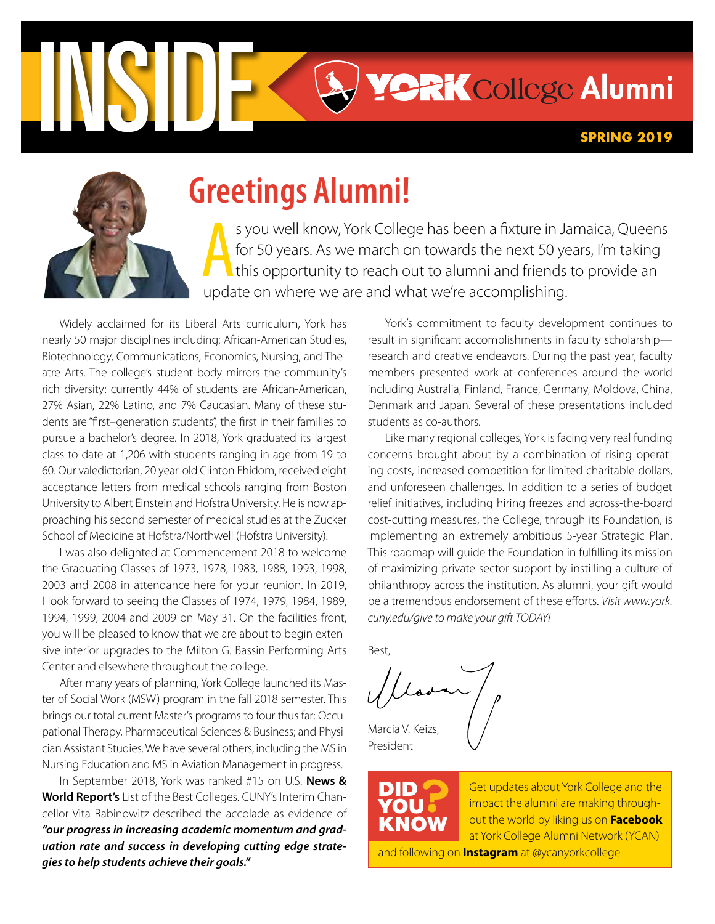

# **Greetings Alumni!**

S you well know, York College has been a fixture in Ja<br>for 50 years. As we march on towards the next 50 ye<br>this opportunity to reach out to alumni and friends<br>update on where we are and what we're accomplishing. s you well know, York College has been a fxture in Jamaica, Queens for 50 years. As we march on towards the next 50 years, I'm taking this opportunity to reach out to alumni and friends to provide an

Widely acclaimed for its Liberal Arts curriculum, York has nearly 50 major disciplines including: African-American Studies, Biotechnology, Communications, Economics, Nursing, and Theatre Arts. The college's student body mirrors the community's rich diversity: currently 44% of students are African-American, 27% Asian, 22% Latino, and 7% Caucasian. Many of these students are "frst–generation students", the frst in their families to pursue a bachelor's degree. In 2018, York graduated its largest class to date at 1,206 with students ranging in age from 19 to 60. Our valedictorian, 20 year-old Clinton Ehidom, received eight acceptance letters from medical schools ranging from Boston University to Albert Einstein and Hofstra University. He is now approaching his second semester of medical studies at the Zucker School of Medicine at Hofstra/Northwell (Hofstra University).

I was also delighted at Commencement 2018 to welcome the Graduating Classes of 1973, 1978, 1983, 1988, 1993, 1998, 2003 and 2008 in attendance here for your reunion. In 2019, I look forward to seeing the Classes of 1974, 1979, 1984, 1989, 1994, 1999, 2004 and 2009 on May 31. On the facilities front, you will be pleased to know that we are about to begin extensive interior upgrades to the Milton G. Bassin Performing Arts Center and elsewhere throughout the college.

After many years of planning, York College launched its Master of Social Work (MSW) program in the fall 2018 semester. This brings our total current Master's programs to four thus far: Occupational Therapy, Pharmaceutical Sciences & Business; and Physician Assistant Studies. We have several others, including the MS in Nursing Education and MS in Aviation Management in progress.

In September 2018, York was ranked #15 on U.S. **News & World Report's** List of the Best Colleges. CUNY's Interim Chancellor Vita Rabinowitz described the accolade as evidence of *"our progress in increasing academic momentum and graduation rate and success in developing cutting edge strategies to help students achieve their goals."* 

York's commitment to faculty development continues to result in signifcant accomplishments in faculty scholarship research and creative endeavors. During the past year, faculty members presented work at conferences around the world including Australia, Finland, France, Germany, Moldova, China, Denmark and Japan. Several of these presentations included students as co-authors.

Like many regional colleges, York is facing very real funding concerns brought about by a combination of rising operating costs, increased competition for limited charitable dollars, and unforeseen challenges. In addition to a series of budget relief initiatives, including hiring freezes and across-the-board cost-cutting measures, the College, through its Foundation, is implementing an extremely ambitious 5-year Strategic Plan. This roadmap will guide the Foundation in fulflling its mission of maximizing private sector support by instilling a culture of philanthropy across the institution. As alumni, your gift would be a tremendous endorsement of these efforts. *Visit www.york. [cuny.edu/give](http://www.york.cuny.edu/give) to make your gift TODAY!* 

Best,

Marcia V. Keizs,

President

 $\overline{\phantom{a}}$ DID YOU KNOW

**?** Get updates about York College and the impact the alumni are making throughout the world by liking us on **Facebook**  at York College Alumni Network (YCAN) and following on **Instagram** at @ycanyorkcollege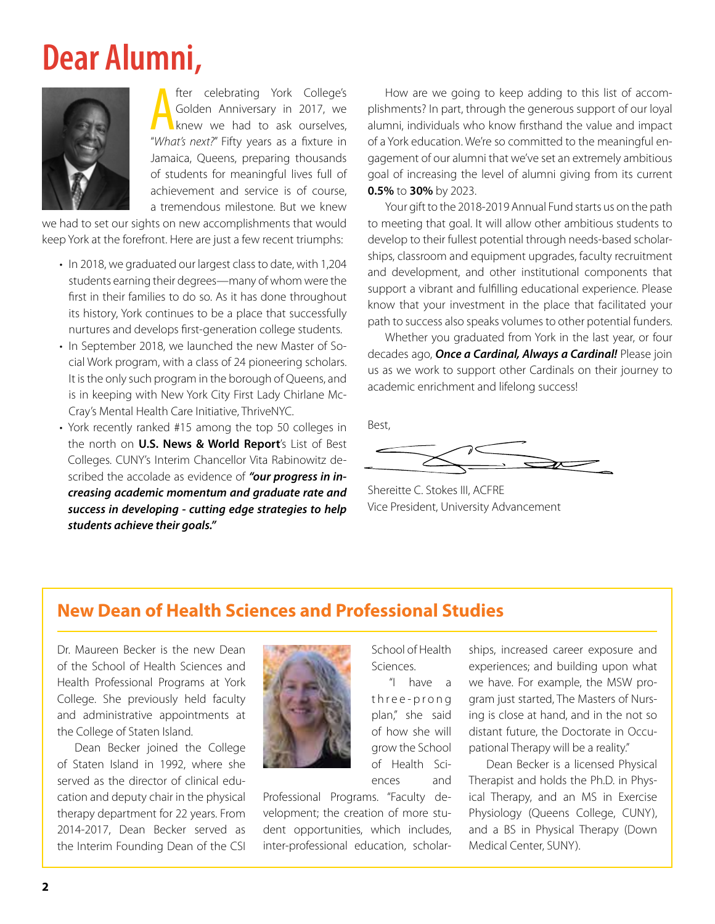# **Dear Alumni,**



**A** fter celebrating York College's<br>
Golden Anniversary in 2017, we<br> *"What's next?"* Fifty years as a fixture in fter celebrating York College's Golden Anniversary in 2017, we knew we had to ask ourselves, Jamaica, Queens, preparing thousands of students for meaningful lives full of achievement and service is of course, a tremendous milestone. But we knew

we had to set our sights on new accomplishments that would keep York at the forefront. Here are just a few recent triumphs:

- • In 2018, we graduated our largest class to date, with 1,204 students earning their degrees—many of whom were the frst in their families to do so. As it has done throughout its history, York continues to be a place that successfully nurtures and develops frst-generation college students.
- • In September 2018, we launched the new Master of Social Work program, with a class of 24 pioneering scholars. It is the only such program in the borough of Queens, and is in keeping with New York City First Lady Chirlane Mc-Cray's Mental Health Care Initiative, ThriveNYC.
- • York recently ranked #15 among the top 50 colleges in the north on **U.S. News & World Report**'s List of Best Colleges. CUNY's Interim Chancellor Vita Rabinowitz described the accolade as evidence of *"our progress in increasing academic momentum and graduate rate and success in developing - cutting edge strategies to help students achieve their goals."*

How are we going to keep adding to this list of accomplishments? In part, through the generous support of our loyal alumni, individuals who know frsthand the value and impact of a York education. We're so committed to the meaningful engagement of our alumni that we've set an extremely ambitious goal of increasing the level of alumni giving from its current **0.5%** to **30%** by 2023.

Your gift to the 2018-2019 Annual Fund starts us on the path to meeting that goal. It will allow other ambitious students to develop to their fullest potential through needs-based scholarships, classroom and equipment upgrades, faculty recruitment and development, and other institutional components that support a vibrant and fulflling educational experience. Please know that your investment in the place that facilitated your path to success also speaks volumes to other potential funders.

Whether you graduated from York in the last year, or four decades ago, *Once a Cardinal, Always a Cardinal!* Please join us as we work to support other Cardinals on their journey to academic enrichment and lifelong success!

Best,

 $\,$ =-

Shereitte C. Stokes III, ACFRE Vice President, University Advancement

## **New Dean of Health Sciences and Professional Studies**

Dr. Maureen Becker is the new Dean of the School of Health Sciences and Health Professional Programs at York College. She previously held faculty and administrative appointments at the College of Staten Island.

Dean Becker joined the College of Staten Island in 1992, where she served as the director of clinical education and deputy chair in the physical therapy department for 22 years. From 2014-2017, Dean Becker served as the Interim Founding Dean of the CSI



Professional Programs. "Faculty development; the creation of more student opportunities, which includes, inter-professional education, scholar-

School of Health Sciences.

"I have a three-prong plan," she said of how she will grow the School of Health Sciences and

ships, increased career exposure and experiences; and building upon what we have. For example, the MSW program just started, The Masters of Nursing is close at hand, and in the not so distant future, the Doctorate in Occupational Therapy will be a reality."

Dean Becker is a licensed Physical Therapist and holds the Ph.D. in Physical Therapy, and an MS in Exercise Physiology (Queens College, CUNY), and a BS in Physical Therapy (Down Medical Center, SUNY).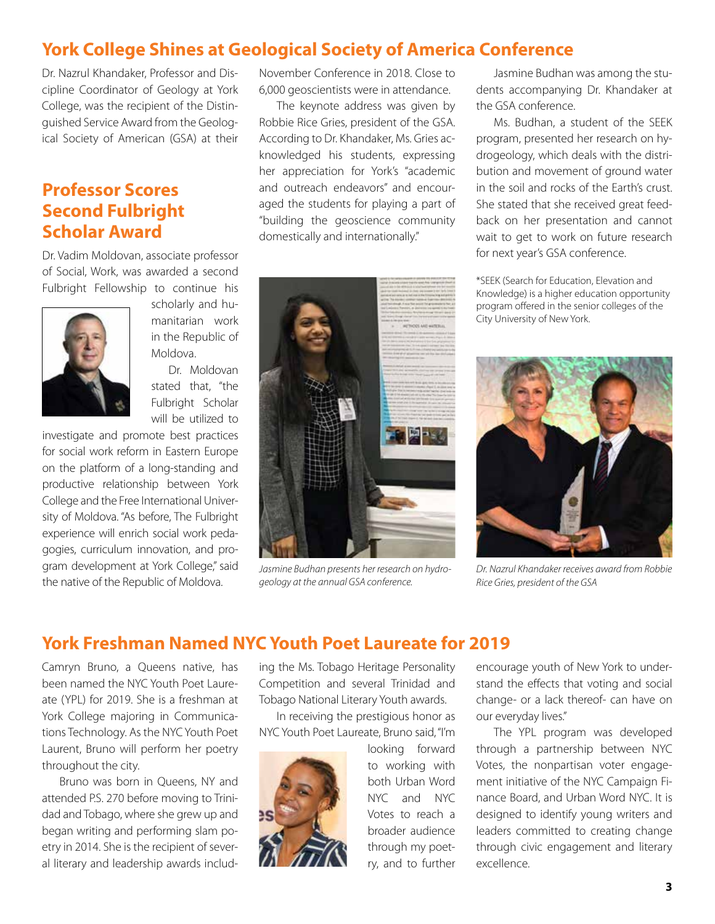## **York College Shines at Geological Society of America Conference**

Dr. Nazrul Khandaker, Professor and Discipline Coordinator of Geology at York College, was the recipient of the Distinguished Service Award from the Geological Society of American (GSA) at their

## **Professor Scores Second Fulbright Scholar Award**

Dr. Vadim Moldovan, associate professor of Social, Work, was awarded a second Fulbright Fellowship to continue his



scholarly and humanitarian work in the Republic of Moldova.

Dr. Moldovan stated that, "the Fulbright Scholar will be utilized to

investigate and promote best practices for social work reform in Eastern Europe on the platform of a long-standing and productive relationship between York College and the Free International University of Moldova. "As before, The Fulbright experience will enrich social work pedagogies, curriculum innovation, and program development at York College," said the native of the Republic of Moldova.

November Conference in 2018. Close to 6,000 geoscientists were in attendance.

The keynote address was given by Robbie Rice Gries, president of the GSA. According to Dr. Khandaker, Ms. Gries acknowledged his students, expressing her appreciation for York's "academic and outreach endeavors" and encouraged the students for playing a part of "building the geoscience community domestically and internationally."



*Jasmine Budhan presents her research on hydrogeology at the annual GSA conference.* 

Jasmine Budhan was among the students accompanying Dr. Khandaker at the GSA conference.

Ms. Budhan, a student of the SEEK program, presented her research on hydrogeology, which deals with the distribution and movement of ground water in the soil and rocks of the Earth's crust. She stated that she received great feedback on her presentation and cannot wait to get to work on future research for next year's GSA conference.

\*SEEK (Search for Education, Elevation and Knowledge) is a higher education opportunity program offered in the senior colleges of the City University of New York.



*Dr. Nazrul Khandaker receives award from Robbie Rice Gries, president of the GSA* 

## **York Freshman Named NYC Youth Poet Laureate for 2019**

Camryn Bruno, a Queens native, has been named the NYC Youth Poet Laureate (YPL) for 2019. She is a freshman at York College majoring in Communications Technology. As the NYC Youth Poet Laurent, Bruno will perform her poetry throughout the city.

Bruno was born in Queens, NY and attended P.S. 270 before moving to Trinidad and Tobago, where she grew up and began writing and performing slam poetry in 2014. She is the recipient of several literary and leadership awards including the Ms. Tobago Heritage Personality Competition and several Trinidad and Tobago National Literary Youth awards.

In receiving the prestigious honor as NYC Youth Poet Laureate, Bruno said, "I'm



looking forward to working with both Urban Word NYC and NYC Votes to reach a broader audience through my poetry, and to further

encourage youth of New York to understand the effects that voting and social change- or a lack thereof- can have on our everyday lives."

The YPL program was developed through a partnership between NYC Votes, the nonpartisan voter engagement initiative of the NYC Campaign Finance Board, and Urban Word NYC. It is designed to identify young writers and leaders committed to creating change through civic engagement and literary excellence.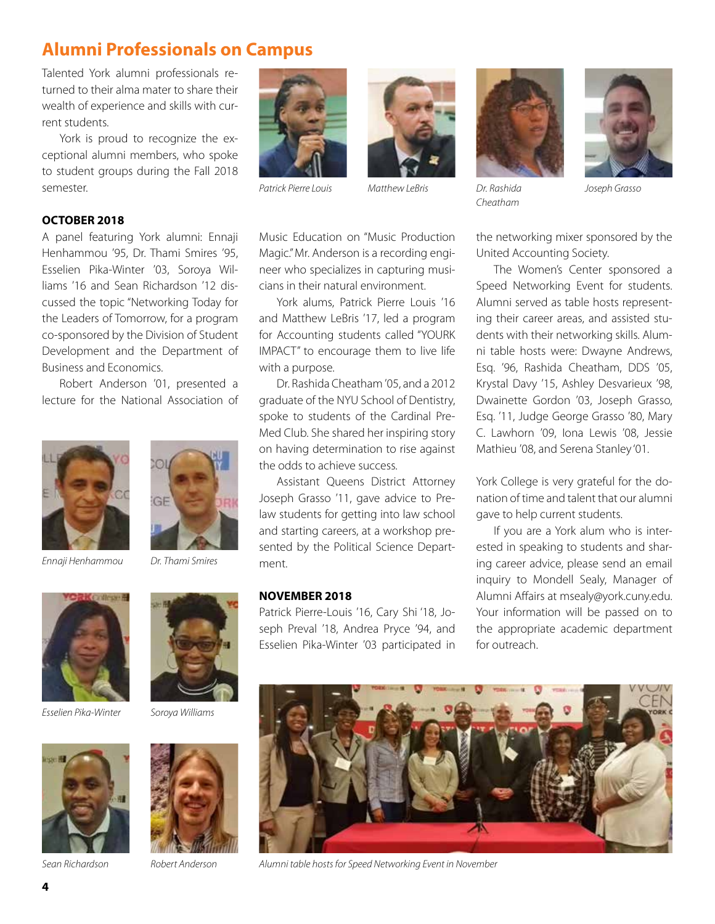# **Alumni Professionals on Campus**

Talented York alumni professionals returned to their alma mater to share their wealth of experience and skills with current students.

York is proud to recognize the exceptional alumni members, who spoke to student groups during the Fall 2018 semester.

## **OCTOBER 2018**

A panel featuring York alumni: Ennaji Henhammou '95, Dr. Thami Smires '95, Esselien Pika-Winter '03, Soroya Williams '16 and Sean Richardson '12 discussed the topic "Networking Today for the Leaders of Tomorrow, for a program co-sponsored by the Division of Student Development and the Department of Business and Economics.

Robert Anderson '01, presented a lecture for the National Association of



*Ennaji Henhammou Dr. Thami Smires* 



GF





*Sean Richardson Robert Anderson* 





*Patrick Pierre Louis Matthew LeBris* 

with a purpose.

the odds to achieve success.

Music Education on "Music Production Magic." Mr. Anderson is a recording engineer who specializes in capturing musicians in their natural environment.

York alums, Patrick Pierre Louis '16 and Matthew LeBris '17, led a program for Accounting students called "YOURK IMPACT" to encourage them to live life

Dr. Rashida Cheatham '05, and a 2012 graduate of the NYU School of Dentistry, spoke to students of the Cardinal Pre-Med Club. She shared her inspiring story on having determination to rise against

Assistant Queens District Attorney Joseph Grasso '11, gave advice to Prelaw students for getting into law school and starting careers, at a workshop presented by the Political Science Depart-





*Cheatham* 

*Dr. Rashida Joseph Grasso* 

the networking mixer sponsored by the United Accounting Society.

The Women's Center sponsored a Speed Networking Event for students. Alumni served as table hosts representing their career areas, and assisted students with their networking skills. Alumni table hosts were: Dwayne Andrews, Esq. '96, Rashida Cheatham, DDS '05, Krystal Davy '15, Ashley Desvarieux '98, Dwainette Gordon '03, Joseph Grasso, Esq. '11, Judge George Grasso '80, Mary C. Lawhorn '09, Iona Lewis '08, Jessie Mathieu '08, and Serena Stanley '01.

York College is very grateful for the donation of time and talent that our alumni gave to help current students.

If you are a York alum who is interested in speaking to students and sharing career advice, please send an email inquiry to Mondell Sealy, Manager of Alumni Afairs at [msealy@york.cuny.edu](mailto:msealy@york.cuny.edu). Your information will be passed on to the appropriate academic department for outreach.

### **NOVEMBER 2018**

ment.

Patrick Pierre-Louis '16, Cary Shi '18, Joseph Preval '18, Andrea Pryce '94, and Esselien Pika-Winter '03 participated in



*Alumni table hosts for Speed Networking Event in November* 

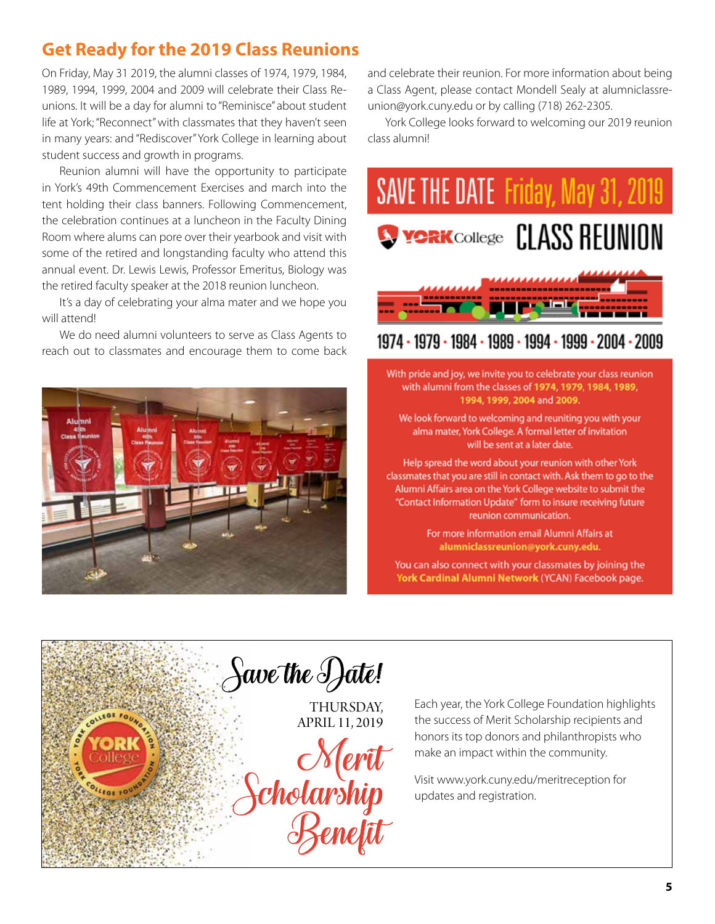# **Get Ready for the 2019 Class Reunions**

On Friday, May 31 2019, the alumni classes of 1974, 1979, 1984, 1989, 1994, 1999, 2004 and 2009 will celebrate their Class Reunions. It will be a day for alumni to "Reminisce" about student life at York; "Reconnect" with classmates that they haven't seen in many years: and "Rediscover" York College in learning about student success and growth in programs.

Reunion alumni will have the opportunity to participate in York's 49th Commencement Exercises and march into the tent holding their class banners. Following Commencement, the celebration continues at a luncheon in the Faculty Dining Room where alums can pore over their yearbook and visit with some of the retired and longstanding faculty who attend this annual event. Dr. Lewis Lewis, Professor Emeritus, Biology was the retired faculty speaker at the 2018 reunion luncheon.

It's a day of celebrating your alma mater and we hope you will attend!

We do need alumni volunteers to serve as Class Agents to reach out to classmates and encourage them to come back



and celebrate their reunion. For more information about being a Class Agent, please contact Mondell Sealy at [alumniclassre](mailto:alumniclassreunion@york.cuny.edu)[union@york.cuny.edu](mailto:alumniclassreunion@york.cuny.edu) or by calling (718) 262-2305.

York College looks forward to welcoming our 2019 reunion class alumni!



## 1974 · 1979 · 1984 · 1989 · 1994 · 1999 · 2004 · 2009

With pride and joy, we invite you to celebrate your class reunion with alumni from the classes of **1974, 1979, 1984, 1989, 1994, 1999, 2004** and **2009.** 

We look forward to welcoming and reuniting you with your alma mater, York College. A formal letter of invitation will be sent at a later date.

Help spread the word about your reunion with other York classmates that you are still in contact with. Ask them to go to the Alumni Affairs area on the York College website to submit the "Contact Information Update" form to insure receiving future reunion communication.

> For more information email Alumni Affairs at **a lu mniclassreu n ion@york.cu ny.ed u.**

You can also connect with your classmates by joining the York Cardinal Alumni Network (YCAN) Facebook page.